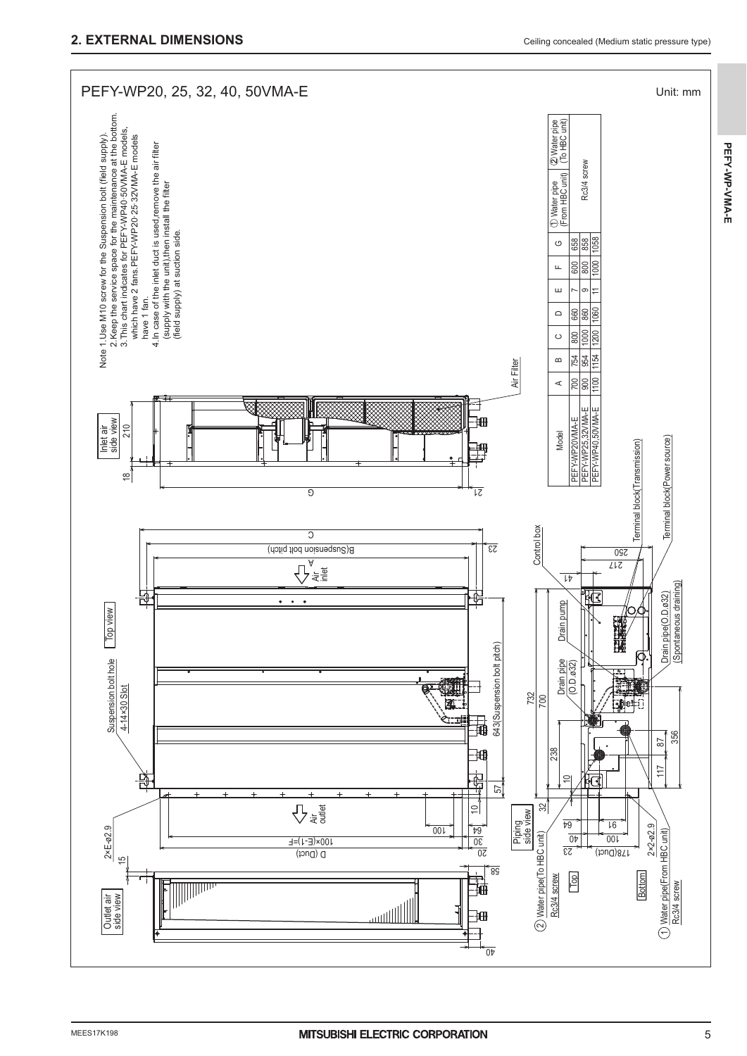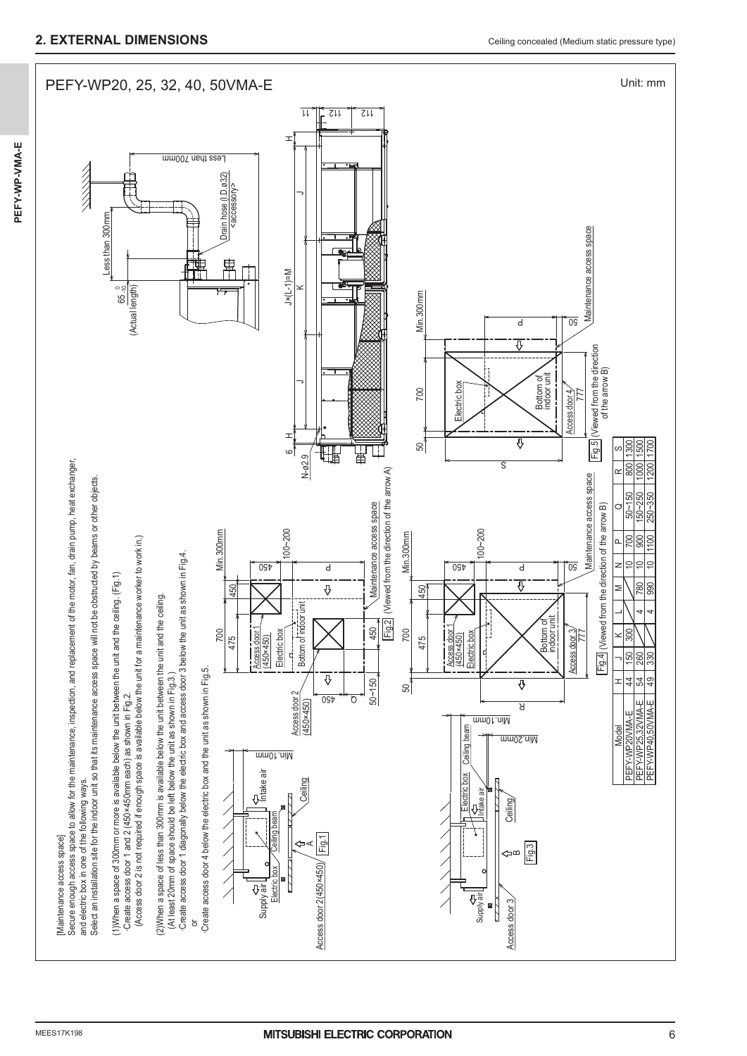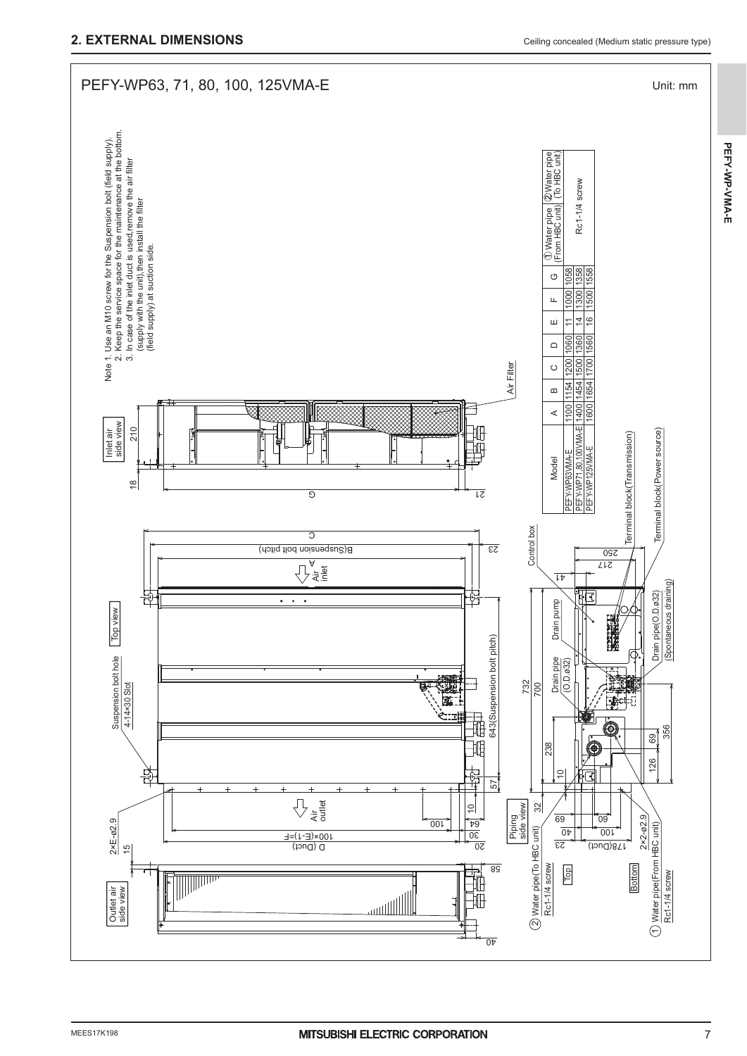**PEFY-WP-VMA-E**

PEFY-WP-VMA-E